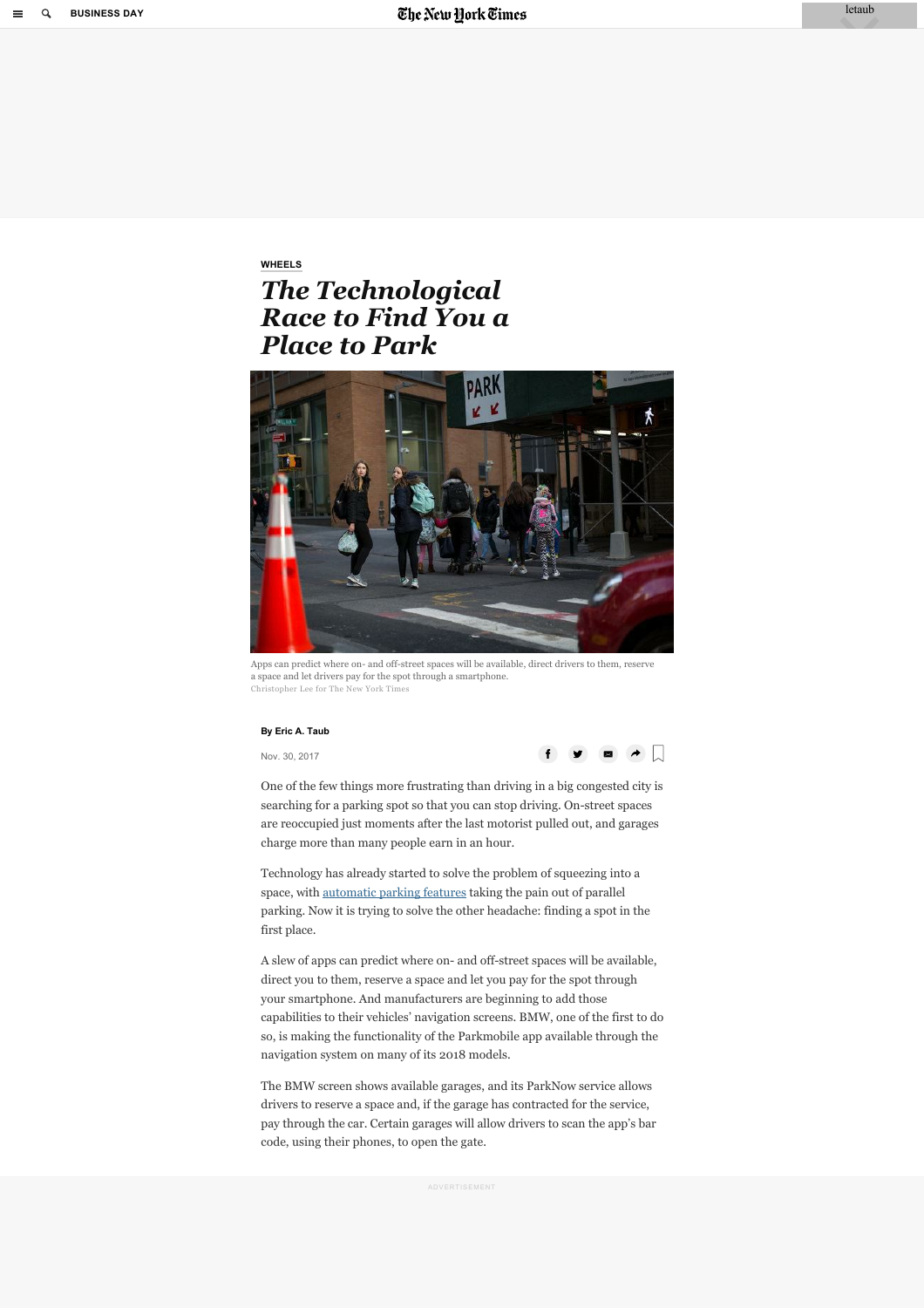# <span id="page-0-0"></span>**[WHEELS](https://www.nytimes.com/column/wheels)** *The Technological Race to Find You a Place to Park*



Apps can predict where on- and off-street spaces will be available, direct drivers to them, reserve a space and let drivers pay for the spot through a smartphone. Christopher Lee for The New York Times

#### **By Eric A. Taub**

Nov. 30, 2017



One of the few things more frustrating than driving in a big congested city is searching for a parking spot so that you can stop driving. On-street spaces are reoccupied just moments after the last motorist pulled out, and garages charge more than many people earn in an hour.

Technology has already started to solve the problem of squeezing into a space, with [automatic parking features](https://www.nytimes.com/2015/01/23/automobiles/if-a-car-is-going-to-self-drive-it-might-as-well-self-park-too.html) taking the pain out of parallel parking. Now it is trying to solve the other headache: finding a spot in the first place.

A slew of apps can predict where on- and off-street spaces will be available, direct you to them, reserve a space and let you pay for the spot through your smartphone. And manufacturers are beginning to add those capabilities to their vehicles' navigation screens. BMW, one of the first to do so, is making the functionality of the Parkmobile app available through the navigation system on many of its 2018 models.

The BMW screen shows available garages, and its ParkNow service allows drivers to reserve a space and, if the garage has contracted for the service, pay through the car. Certain garages will allow drivers to scan the app's bar code, using their phones, to open the gate.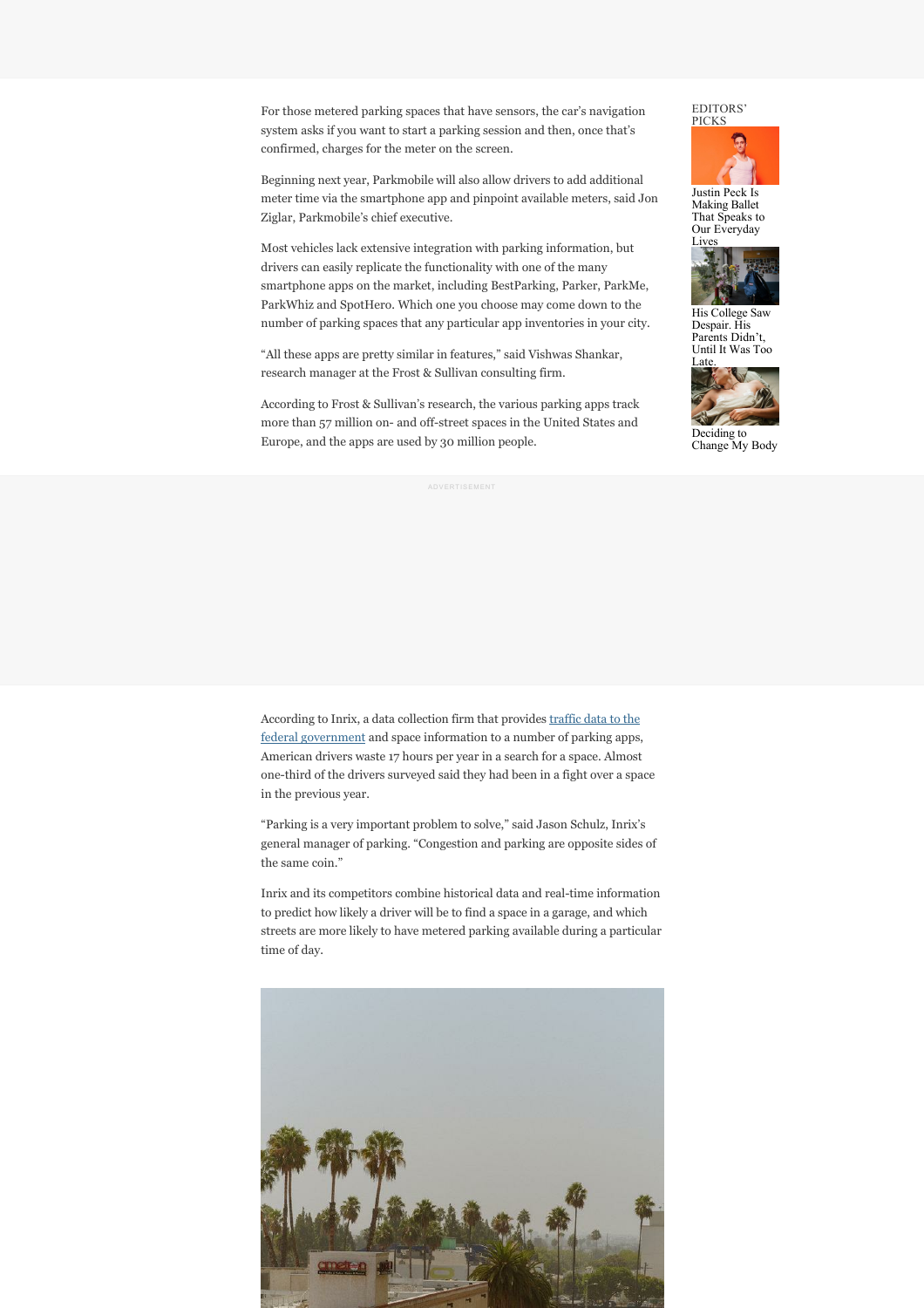For those metered parking spaces that have sensors, the car's navigation system asks if you want to start a parking session and then, once that's confirmed, charges for the meter on the screen.

Beginning next year, Parkmobile will also allow drivers to add additional meter time via the smartphone app and pinpoint available meters, said Jon Ziglar, Parkmobile's chief executive.

Most vehicles lack extensive integration with parking information, but drivers can easily replicate the functionality with one of the many smartphone apps on the market, including BestParking, Parker, ParkMe, ParkWhiz and SpotHero. Which one you choose may come down to the number of parking spaces that any particular app inventories in your city.

"All these apps are pretty similar in features," said Vishwas Shankar, research manager at the Frost & Sullivan consulting firm.

According to Frost & Sullivan's research, the various parking apps track more than 57 million on- and off-street spaces in the United States and Europe, and the apps are used by 30 million people.

## EDITORS' PICKS



Making Ballet That Speaks to Our Everyday [Lives](https://www.nytimes.com/2018/05/12/us/college-student-suicide-hamilton.html?fallback=0&recId=15fGH8VlG7b0AejzWpmxtPFF7yQ&geoContinent=NA&geoRegion=CA&recAlloc=als1&geoCountry=US&blockId=signature-journalism)



His College Sa Despair. His Parents Didn't Until It Was Too



Change My Body

[According to Inrix, a data collection firm that provides traffic data to the](http://inrix.com/press-releases/npmrds/) federal government and space information to a number of parking apps, American drivers waste 17 hours per year in a search for a space. Almost one-third of the drivers surveyed said they had been in a fight over a space in the previous year.

"Parking is a very important problem to solve," said Jason Schulz, Inrix's general manager of parking. "Congestion and parking are opposite sides of the same coin."

Inrix and its competitors combine historical data and real-time information to predict how likely a driver will be to find a space in a garage, and which streets are more likely to have metered parking available during a particular time of day.

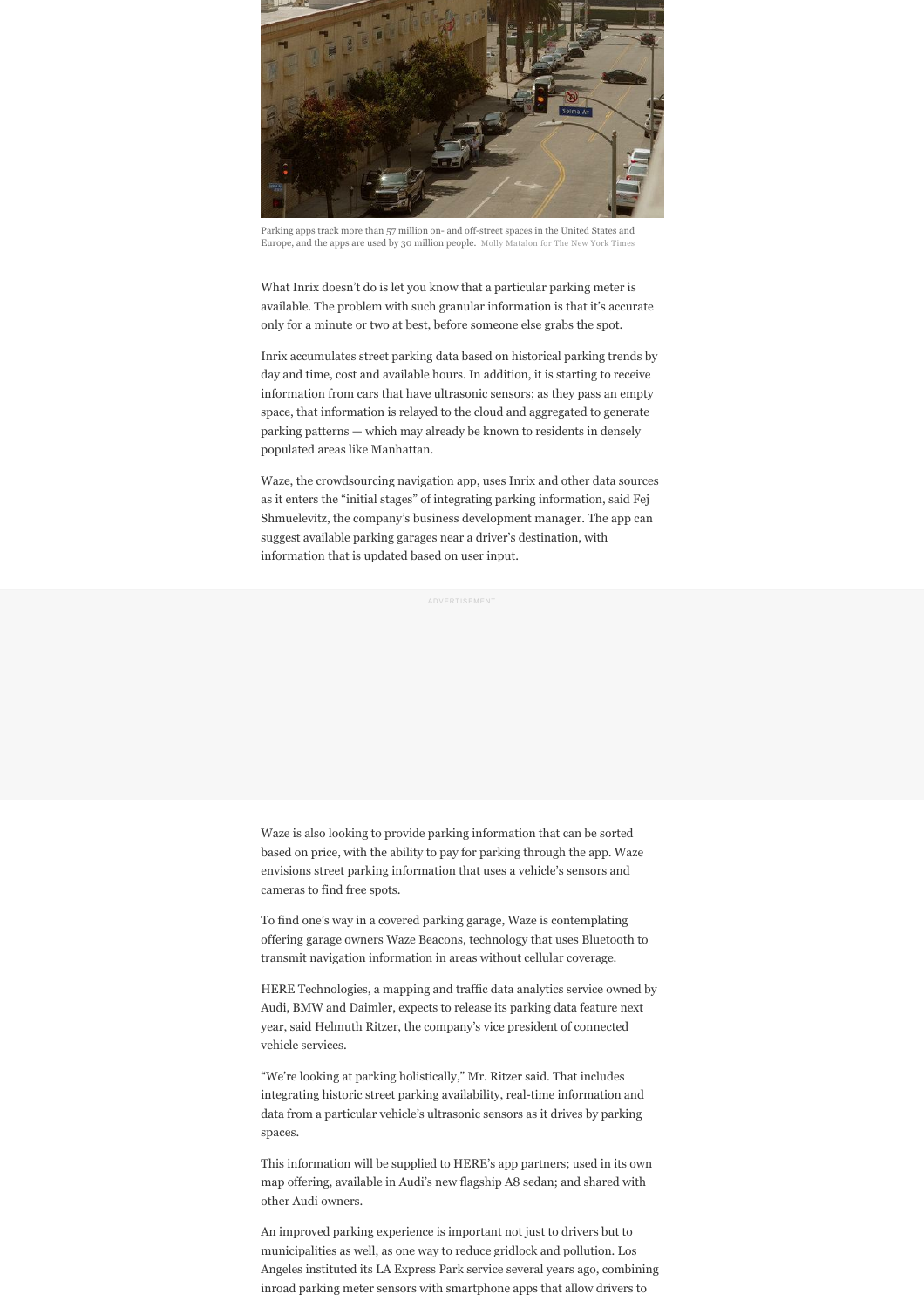

Parking apps track more than 57 million on- and off-street spaces in the United States and Europe, and the apps are used by 30 million people. Molly Matalon for The N

What Inrix doesn't do is let you know that a particular parking meter is available. The problem with such granular information is that it's accurate only for a minute or two at best, before someone else grabs the spot.

Inrix accumulates street parking data based on historical parking trends by day and time, cost and available hours. In addition, it is starting to receive information from cars that have ultrasonic sensors; as they pass an empty space, that information is relayed to the cloud and aggregated to generate parking patterns — which may already be known to residents in densely populated areas like Manhattan.

Waze, the crowdsourcing navigation app, uses Inrix and other data sources as it enters the "initial stages" of integrating parking information, said Fej Shmuelevitz, the company's business development manager. The app can suggest available parking garages near a driver's destination, with information that is updated based on user input.

Waze is also looking to provide parking information that can be sorted based on price, with the ability to pay for parking through the app. Waze envisions street parking information that uses a vehicle's sensors and cameras to find free spots.

To find one's way in a covered parking garage, Waze is contemplating offering garage owners Waze Beacons, technology that uses Bluetooth to transmit navigation information in areas without cellular coverage.

HERE Technologies, a mapping and traffic data analytics service owned by Audi, BMW and Daimler, expects to release its parking data feature next year, said Helmuth Ritzer, the company's vice president of connected vehicle services.

"We're looking at parking holistically," Mr. Ritzer said. That includes integrating historic street parking availability, real-time information and data from a particular vehicle's ultrasonic sensors as it drives by parking spaces.

This information will be supplied to HERE's app partners; used in its own map offering, available in Audi's new flagship A8 sedan; and shared with other Audi owners.

An improved parking experience is important not just to drivers but to municipalities as well, as one way to reduce gridlock and pollution. Los Angeles instituted its LA Express Park service several years ago, combining inroad parking meter sensors with smartphone apps that allow drivers to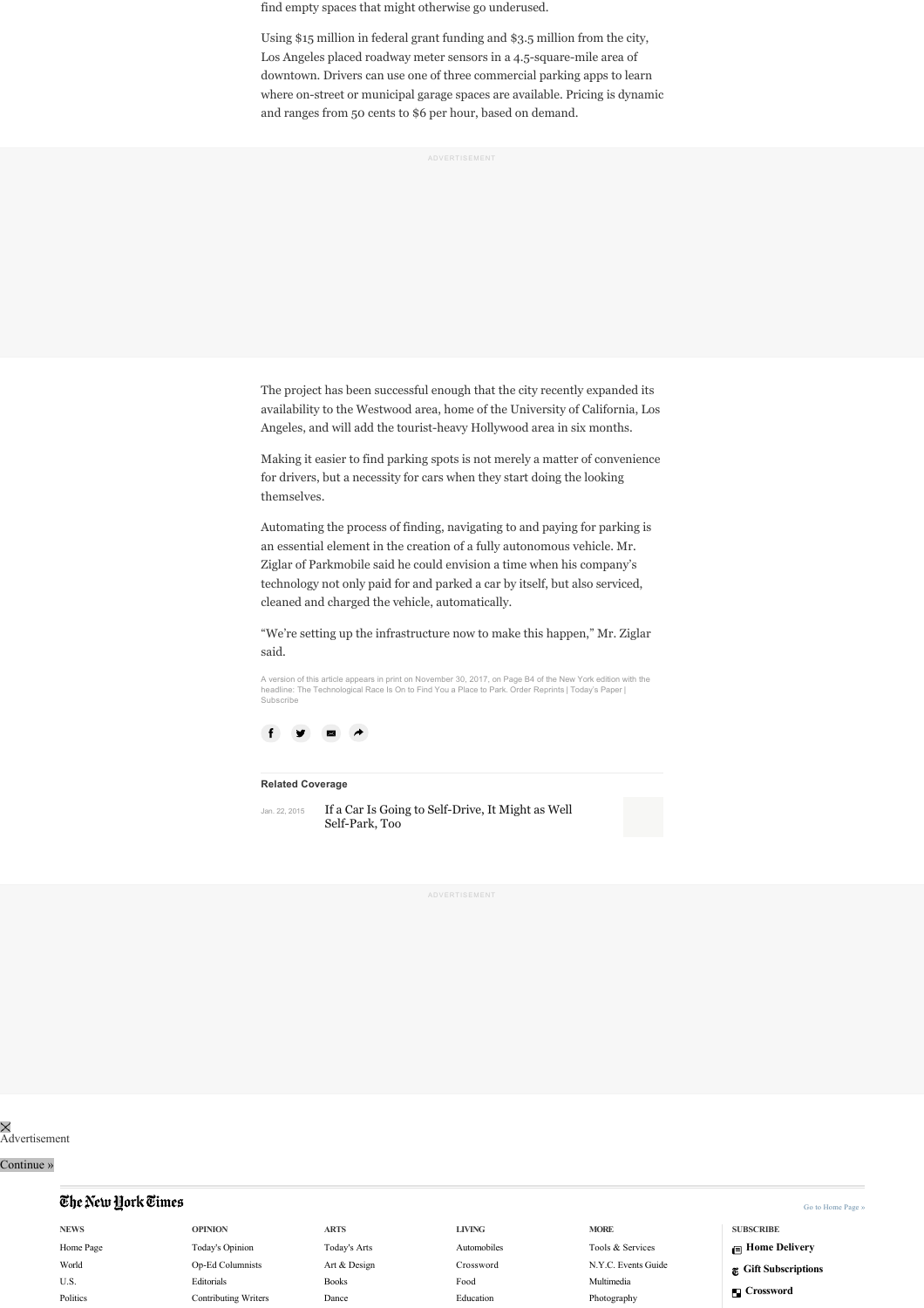find empty spaces that might otherwise go underused.

Using \$15 million in federal grant funding and \$3.5 million from the city, Los Angeles placed roadway meter sensors in a 4.5-square-mile area of downtown. Drivers can use one of three commercial parking apps to learn where on-street or municipal garage spaces are available. Pricing is dynamic and ranges from 50 cents to \$6 per hour, based on demand.

ADVERTISEMENT

The project has been successful enough that the city recently expanded its availability to the Westwood area, home of the University of California, Los Angeles, and will add the tourist-heavy Hollywood area in six months.

Making it easier to find parking spots is not merely a matter of convenience for drivers, but a necessity for cars when they start doing the looking themselves.

Automating the process of finding, navigating to and paying for parking is an essential element in the creation of a fully autonomous vehicle. Mr. Ziglar of Parkmobile said he could envision a time when his company's technology not only paid for and parked a car by itself, but also serviced, cleaned and charged the vehicle, automatically.

"We're setting up the infrastructure now to make this happen," Mr. Ziglar said.

A version of this article appears in print on November 30, 2017, on Page B4 of the New York edition with the headline: The Technological Race Is On to Find You a Place to Park. [Order Reprints](http://www.nytreprints.com/) | [Today's Paper](http://www.nytimes.com/pages/todayspaper/index.html) | [Subscribe](https://www.nytimes.com/subscriptions/Multiproduct/lp8HYKU.html?campaignId=48JQY)



#### **Related Coverage**

Jan. 22, 2015

[If a Car Is Going to Self-Drive, It Might as Well](https://www.nytimes.com/2015/01/23/automobiles/if-a-car-is-going-to-self-drive-it-might-as-well-self-park-too.html?action=click&module=RelatedCoverage&pgtype=Article®ion=Footer) Self-Park, Too

Advertisement

## Continue »

## <span id="page-3-0"></span>The New York Times

**NEWS** [Home Page](https://www.nytimes.com) [World](https://www.nytimes.com/world) [U.S.](https://www.nytimes.com/national) [Politics](https://www.nytimes.com/politics)

**OPINION** [Today's Opinion](https://www.nytimes.com/opinion) [Op-Ed Columnists](https://www.nytimes.com/topic/subject/columnists) [Editorials](https://www.nytimes.com/pages/opinion/index.html#editorials) [Contributing Writers](https://www.nytimes.com/pages/opinion/index.html#contributing) **ARTS** [Today's Arts](https://www.nytimes.com/arts) [Art & Design](https://www.nytimes.com/design) [Books](https://www.nytimes.com/books) [Dance](https://www.nytimes.com/dance)

## **LIVING**

[Automobiles](https://www.nytimes.com/automobiles) [Crossword](https://www.nytimes.com/crosswords) [Food](https://www.nytimes.com/dining)

[Education](https://www.nytimes.com/education)

**MORE** [Tools & Services](http://www.nytimes.com/marketing/tools-and-services) [N.Y.C. Events Guide](https://www.nytimes.com/events) [Multimedia](https://www.nytimes.com/pages/multimedia/index.html) [Photography](https://lens.blogs.nytimes.com)

[Go to Home Page »](https://www.nytimes.com/)

- **SUBSCRIBE [Home Delivery](https://www.nytimes.com/hdleftnav)**
- **[Gift Subscriptions](https://www.nytimes.com/giftleftnav)**
- **[Crossword](https://www.nytimes.com/crosswords)**